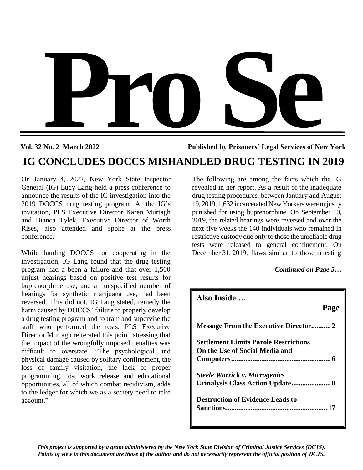

**Vol. 32 No. 2 March 2022 Published by Prisoners' Legal Services of New York**

# **IG CONCLUDES DOCCS MISHANDLED DRUG TESTING IN 2019**

On January 4, 2022, New York State Inspector General (IG) Lucy Lang held a press conference to announce the results of the IG investigation into the 2019 DOCCS drug testing program. At the IG's invitation, PLS Executive Director Karen Murtagh and Bianca Tylek, Executive Director of Worth Rises, also attended and spoke at the press conference.

While lauding DOCCS for cooperating in the investigation, IG Lang found that the drug testing program had a been a failure and that over 1,500 unjust hearings based on positive test results for buprenorphine use, and an unspecified number of hearings for synthetic marijuana use, had been reversed. This did not, IG Lang stated, remedy the harm caused by DOCCS' failure to properly develop a drug testing program and to train and supervise the staff who performed the tests. PLS Executive Director Murtagh reiterated this point, stressing that the impact of the wrongfully imposed penalties was difficult to overstate. "The psychological and physical damage caused by solitary confinement, the loss of family visitation, the lack of proper programming, lost work release and educational opportunities, all of which combat recidivism, adds to the ledger for which we as a society need to take account."

The following are among the facts which the IG revealed in her report. As a result of the inadequate drug testing procedures, between January and August 19, 2019, 1,632 incarcerated New Yorkers were unjustly punished for using buprenorphine. On September 10, 2019, the related hearings were reversed and over the next five weeks the 140 individuals who remained in restrictive custody due only to those the unreliable drug tests were released to general confinement. On December 31, 2019, flaws similar to those in testing

## *Continued on Page 5…*

| Also Inside                                                     |      |
|-----------------------------------------------------------------|------|
|                                                                 | Page |
|                                                                 |      |
| <b>Settlement Limits Parole Restrictions</b>                    |      |
| On the Use of Social Media and                                  |      |
|                                                                 |      |
| <b>Steele Warrick v. Microgenics</b>                            |      |
| Urinalysis Class Action Update 8                                |      |
| <b>Destruction of Evidence Leads to</b><br><b>Sanctions</b><br> |      |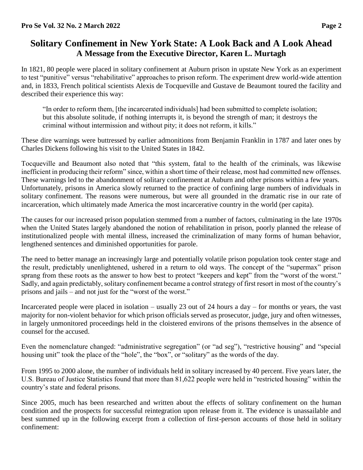## **Solitary Confinement in New York State: A Look Back and A Look Ahead A Message from the Executive Director, Karen L. Murtagh**

In 1821, 80 people were placed in solitary confinement at Auburn prison in upstate New York as an experiment to test "punitive" versus "rehabilitative" approaches to prison reform. The experiment drew world-wide attention and, in 1833, French political scientists Alexis de Tocqueville and Gustave de Beaumont toured the facility and described their experience this way:

"In order to reform them, [the incarcerated individuals] had been submitted to complete isolation; but this absolute solitude, if nothing interrupts it, is beyond the strength of man; it destroys the criminal without intermission and without pity; it does not reform, it kills."

These dire warnings were buttressed by earlier admonitions from Benjamin Franklin in 1787 and later ones by Charles Dickens following his visit to the United States in 1842.

Tocqueville and Beaumont also noted that "this system, fatal to the health of the criminals, was likewise inefficient in producing their reform" since, within a short time of their release, most had committed new offenses. These warnings led to the abandonment of solitary confinement at Auburn and other prisons within a few years. Unfortunately, prisons in America slowly returned to the practice of confining large numbers of individuals in solitary confinement. The reasons were numerous, but were all grounded in the dramatic rise in our rate of incarceration, which ultimately made America the most incarcerative country in the world (per capita).

The causes for our increased prison population stemmed from a number of factors, culminating in the late 1970s when the United States largely abandoned the notion of rehabilitation in prison, poorly planned the release of institutionalized people with mental illness, increased the criminalization of many forms of human behavior, lengthened sentences and diminished opportunities for parole.

The need to better manage an increasingly large and potentially volatile prison population took center stage and the result, predictably unenlightened, ushered in a return to old ways. The concept of the "supermax" prison sprang from these roots as the answer to how best to protect "keepers and kept" from the "worst of the worst." Sadly, and again predictably, solitary confinement became a control strategy of first resort in most of the country's prisons and jails – and not just for the "worst of the worst."

Incarcerated people were placed in isolation – usually 23 out of 24 hours a day – for months or years, the vast majority for non-violent behavior for which prison officials served as prosecutor, judge, jury and often witnesses, in largely unmonitored proceedings held in the cloistered environs of the prisons themselves in the absence of counsel for the accused.

Even the nomenclature changed: "administrative segregation" (or "ad seg"), "restrictive housing" and "special housing unit" took the place of the "hole", the "box", or "solitary" as the words of the day.

From 1995 to 2000 alone, the number of individuals held in solitary increased by 40 percent. Five years later, the U.S. Bureau of Justice Statistics found that more than 81,622 people were held in "restricted housing" within the country's state and federal prisons.

Since 2005, much has been researched and written about the effects of solitary confinement on the human condition and the prospects for successful reintegration upon release from it. The evidence is unassailable and best summed up in the following excerpt from a collection of first-person accounts of those held in solitary confinement: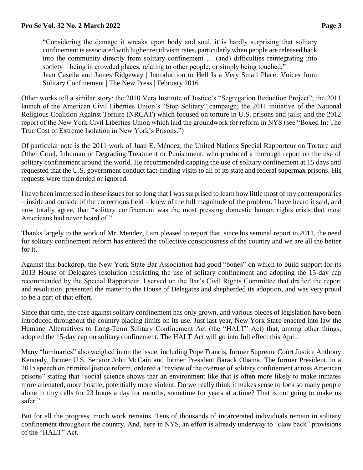"Considering the damage it wreaks upon body and soul, it is hardly surprising that solitary confinement is associated with higher recidivism rates, particularly when people are released back into the community directly from solitary confinement … (and) difficulties reintegrating into society—being in crowded places, relating to other people, or simply being touched." Jean Casella and James Ridgeway | Introduction to Hell Is a Very Small Place: Voices from Solitary Confinement | The New Press | February 2016

Other works tell a similar story: the 2010 Vera Institute of Justice's "Segregation Reduction Project"; the 2011 launch of the American Civil Liberties Union's "Stop Solitary" campaign; the 2011 initiative of the National Religious Coalition Against Torture (NRCAT) which focused on torture in U.S. prisons and jails; and the 2012 report of the New York Civil Liberties Union which laid the groundwork for reform in NYS (see "Boxed In: The True Cost of Extreme Isolation in New York's Prisons.")

Of particular note is the 2011 work of Juan E. Méndez, the United Nations Special Rapporteur on Torture and Other Cruel, Inhuman or Degrading Treatment or Punishment, who produced a thorough report on the use of solitary confinement around the world. He recommended capping the use of solitary confinement at 15 days and requested that the U.S. government conduct fact-finding visits to all of its state and federal supermax prisons. His requests were then denied or ignored.

I have been immersed in these issues for so long that I was surprised to learn how little most of my contemporaries – inside and outside of the corrections field – knew of the full magnitude of the problem. I have heard it said, and now totally agree, that "solitary confinement was the most pressing domestic human rights crisis that most Americans had never heard of."

Thanks largely to the work of Mr. Mendez, I am pleased to report that, since his seminal report in 2011, the need for solitary confinement reform has entered the collective consciousness of the country and we are all the better for it.

Against this backdrop, the New York State Bar Association had good "bones" on which to build support for its 2013 House of Delegates resolution restricting the use of solitary confinement and adopting the 15-day cap recommended by the Special Rapporteur. I served on the Bar's Civil Rights Committee that drafted the report and resolution, presented the matter to the House of Delegates and shepherded its adoption, and was very proud to be a part of that effort.

Since that time, the case against solitary confinement has only grown, and various pieces of legislation have been introduced throughout the country placing limits on its use. Just last year, New York State enacted into law the Humane Alternatives to Long-Term Solitary Confinement Act (the "HALT" Act) that, among other things, adopted the 15-day cap on solitary confinement. The HALT Act will go into full effect this April.

Many "luminaries" also weighed in on the issue, including Pope Francis, former Supreme Court Justice Anthony Kennedy, former U.S. Senator John McCain and former President Barack Obama. The former President, in a 2015 speech on criminal justice reform, ordered a "review of the overuse of solitary confinement across American prisons" stating that "social science shows that an environment like that is often more likely to make inmates more alienated, more hostile, potentially more violent. Do we really think it makes sense to lock so many people alone in tiny cells for 23 hours a day for months, sometime for years at a time? That is not going to make us safer."

But for all the progress, much work remains. Tens of thousands of incarcerated individuals remain in solitary confinement throughout the country. And, here in NYS, an effort is already underway to "claw back" provisions of the "HALT" Act.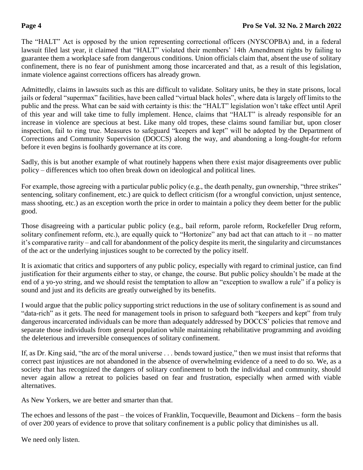The "HALT" Act is opposed by the union representing correctional officers (NYSCOPBA) and, in a federal lawsuit filed last year, it claimed that "HALT" violated their members' 14th Amendment rights by failing to guarantee them a workplace safe from dangerous conditions. Union officials claim that, absent the use of solitary confinement, there is no fear of punishment among those incarcerated and that, as a result of this legislation, inmate violence against corrections officers has already grown.

Admittedly, claims in lawsuits such as this are difficult to validate. Solitary units, be they in state prisons, local jails or federal "supermax" facilities, have been called "virtual black holes", where data is largely off limits to the public and the press. What can be said with certainty is this: the "HALT" legislation won't take effect until April of this year and will take time to fully implement. Hence, claims that "HALT" is already responsible for an increase in violence are specious at best. Like many old tropes, these claims sound familiar but, upon closer inspection, fail to ring true. Measures to safeguard "keepers and kept" will be adopted by the Department of Corrections and Community Supervision (DOCCS) along the way, and abandoning a long-fought-for reform before it even begins is foolhardy governance at its core.

Sadly, this is but another example of what routinely happens when there exist major disagreements over public policy – differences which too often break down on ideological and political lines.

For example, those agreeing with a particular public policy (e.g., the death penalty, gun ownership, "three strikes" sentencing, solitary confinement, etc.) are quick to deflect criticism (for a wrongful conviction, unjust sentence, mass shooting, etc.) as an exception worth the price in order to maintain a policy they deem better for the public good.

Those disagreeing with a particular public policy (e.g., bail reform, parole reform, Rockefeller Drug reform, solitary confinement reform, etc.), are equally quick to "Hortonize" any bad act that can attach to it – no matter it's comparative rarity – and call for abandonment of the policy despite its merit, the singularity and circumstances of the act or the underlying injustices sought to be corrected by the policy itself.

It is axiomatic that critics and supporters of any public policy, especially with regard to criminal justice, can find justification for their arguments either to stay, or change, the course. But public policy shouldn't be made at the end of a yo-yo string, and we should resist the temptation to allow an "exception to swallow a rule" if a policy is sound and just and its deficits are greatly outweighed by its benefits.

I would argue that the public policy supporting strict reductions in the use of solitary confinement is as sound and "data-rich" as it gets. The need for management tools in prison to safeguard both "keepers and kept" from truly dangerous incarcerated individuals can be more than adequately addressed by DOCCS' policies that remove and separate those individuals from general population while maintaining rehabilitative programming and avoiding the deleterious and irreversible consequences of solitary confinement.

If, as Dr. King said, "the arc of the moral universe . . . bends toward justice," then we must insist that reforms that correct past injustices are not abandoned in the absence of overwhelming evidence of a need to do so. We, as a society that has recognized the dangers of solitary confinement to both the individual and community, should never again allow a retreat to policies based on fear and frustration, especially when armed with viable alternatives.

As New Yorkers, we are better and smarter than that.

The echoes and lessons of the past – the voices of Franklin, Tocqueville, Beaumont and Dickens – form the basis of over 200 years of evidence to prove that solitary confinement is a public policy that diminishes us all.

We need only listen.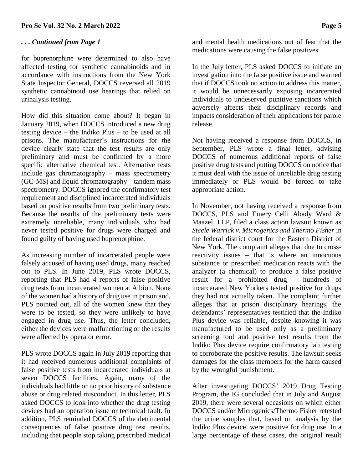## *. . . Continued from Page 1*

for buprenorphine were determined to also have affected testing for synthetic cannabinoids and in accordance with instructions from the New York State Inspector General, DOCCS reversed all 2019 synthetic cannabinoid use hearings that relied on urinalysis testing.

How did this situation come about? It began in January 2019, when DOCCS introduced a new drug testing device – the Indiko Plus – to be used at all prisons. The manufacturer's instructions for the device clearly state that the test results are only preliminary and must be confirmed by a more specific alternative chemical test. Alternative tests include gas chromatography – mass spectrometry (GC-MS) and liquid chromatography – tandem mass spectrometry. DOCCS ignored the confirmatory test requirement and disciplined incarcerated individuals based on positive results from two preliminary tests. Because the results of the preliminary tests were extremely unreliable, many individuals who had never tested positive for drugs were charged and found guilty of having used buprenorphine.

As increasing number of incarcerated people were falsely accused of having used drugs, many reached out to PLS. In June 2019, PLS wrote DOCCS, reporting that PLS had 4 reports of false positive drug tests from incarcerated women at Albion. None of the women had a history of drug use in prison and, PLS pointed out, all of the women knew that they were to be tested, so they were unlikely to have engaged in drug use. Thus, the letter concluded, either the devices were malfunctioning or the results were affected by operator error.

PLS wrote DOCCS again in July 2019 reporting that it had received numerous additional complaints of false positive tests from incarcerated individuals at seven DOCCS facilities. Again, many of the individuals had little or no prior history of substance abuse or drug related misconduct. In this letter, PLS asked DOCCS to look into whether the drug testing devices had an operation issue or technical fault. In addition, PLS reminded DOCCS of the detrimental consequences of false positive drug test results, including that people stop taking prescribed medical and mental health medications out of fear that the medications were causing the false positives.

In the July letter, PLS asked DOCCS to initiate an investigation into the false positive issue and warned that if DOCCS took no action to address this matter, it would be unnecessarily exposing incarcerated individuals to undeserved punitive sanctions which adversely affects their disciplinary records and impacts consideration of their applications for parole release.

Not having received a response from DOCCS, in September, PLS wrote a final letter, advising DOCCS of numerous additional reports of false positive drug tests and putting DOCCS on notice that it must deal with the issue of unreliable drug testing immediately or PLS would be forced to take appropriate action.

In November, not having received a response from DOCCS, PLS and Emery Celli Abady Ward & Maazel, LLP, filed a class action lawsuit known as *Steele Warrick v. Microgenics and Thermo Fisher* in the federal district court for the Eastern District of New York. The complaint alleges that due to crossreactivity issues – that is where an innocuous substance or prescribed medication reacts with the analyzer (a chemical) to produce a false positive result for a prohibited drug – hundreds of incarcerated New Yorkers tested positive for drugs they had not actually taken. The complaint further alleges that at prison disciplinary hearings, the defendants' representatives testified that the Indiko Plus device was reliable, despite knowing it was manufactured to be used only as a preliminary screening tool and positive test results from the Indiko Plus device require confirmatory lab testing to corroborate the positive results. The lawsuit seeks damages for the class members for the harm caused by the wrongful punishment.

After investigating DOCCS' 2019 Drug Testing Program, the IG concluded that in July and August 2019, there were several occasions on which either DOCCS and/or Microgenics/Thermo Fisher retested the urine samples that, based on analysis by the Indiko Plus device, were positive for drug use. In a large percentage of these cases, the original result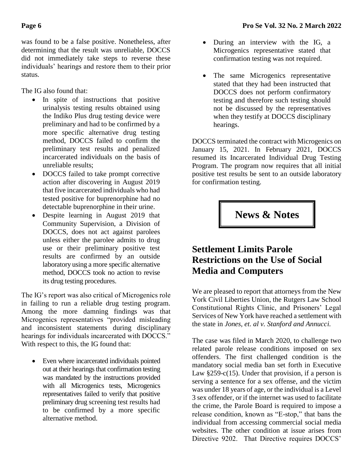was found to be a false positive. Nonetheless, after determining that the result was unreliable, DOCCS did not immediately take steps to reverse these individuals' hearings and restore them to their prior status.

The IG also found that:

- In spite of instructions that positive urinalysis testing results obtained using the Indiko Plus drug testing device were preliminary and had to be confirmed by a more specific alternative drug testing method, DOCCS failed to confirm the preliminary test results and penalized incarcerated individuals on the basis of unreliable results;
- DOCCS failed to take prompt corrective action after discovering in August 2019 that five incarcerated individuals who had tested positive for buprenorphine had no detectable buprenorphine in their urine.
- Despite learning in August 2019 that Community Supervision, a Division of DOCCS, does not act against parolees unless either the parolee admits to drug use or their preliminary positive test results are confirmed by an outside laboratory using a more specific alternative method, DOCCS took no action to revise its drug testing procedures.

The IG's report was also critical of Microgenics role in failing to run a reliable drug testing program. Among the more damning findings was that Microgenics representatives "provided misleading and inconsistent statements during disciplinary hearings for individuals incarcerated with DOCCS." With respect to this, the IG found that:

• Even where incarcerated individuals pointed out at their hearings that confirmation testing was mandated by the instructions provided with all Microgenics tests, Microgenics representatives failed to verify that positive preliminary drug screening test results had to be confirmed by a more specific alternative method.

- During an interview with the IG, a Microgenics representative stated that confirmation testing was not required.
- The same Microgenics representative stated that they had been instructed that DOCCS does not perform confirmatory testing and therefore such testing should not be discussed by the representatives when they testify at DOCCS disciplinary hearings.

DOCCS terminated the contract with Microgenics on January 15, 2021. In February 2021, DOCCS resumed its Incarcerated Individual Drug Testing Program. The program now requires that all initial positive test results be sent to an outside laboratory for confirmation testing.

**News & Notes**

## **Settlement Limits Parole Restrictions on the Use of Social Media and Computers**

We are pleased to report that attorneys from the New York Civil Liberties Union, the Rutgers Law School Constitutional Rights Clinic, and Prisoners' Legal Services of New York have reached a settlement with the state in *Jones, et. al v. Stanford and Annucci.*

The case was filed in March 2020, to challenge two related parole release conditions imposed on sex offenders. The first challenged condition is the mandatory social media ban set forth in Executive Law  $§259-c(15)$ . Under that provision, if a person is serving a sentence for a sex offense, and the victim was under 18 years of age, or the individual is a Level 3 sex offender, or if the internet was used to facilitate the crime, the Parole Board is required to impose a release condition, known as "E-stop," that bans the individual from accessing commercial social media websites. The other condition at issue arises from Directive 9202. That Directive requires DOCCS'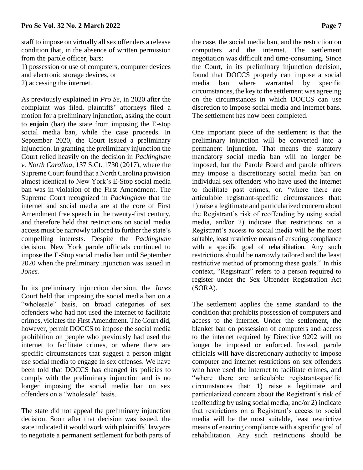staff to impose on virtually all sex offenders a release condition that, in the absence of written permission from the parole officer, bars:

1) possession or use of computers, computer devices and electronic storage devices, or

2) accessing the internet.

As previously explained in *Pro Se*, in 2020 after the complaint was filed, plaintiffs' attorneys filed a motion for a preliminary injunction, asking the court to **enjoin** (bar) the state from imposing the E-stop social media ban, while the case proceeds. In September 2020, the Court issued a preliminary injunction. In granting the preliminary injunction the Court relied heavily on the decision in *Packingham v. North Carolina*, 137 S.Ct. 1730 (2017), where the Supreme Court found that a North Carolina provision almost identical to New York's E-Stop social media ban was in violation of the First Amendment. The Supreme Court recognized in *Packingham* that the internet and social media are at the core of First Amendment free speech in the twenty-first century, and therefore held that restrictions on social media access must be narrowly tailored to further the state's compelling interests. Despite the *Packingham* decision, New York parole officials continued to impose the E-Stop social media ban until September 2020 when the preliminary injunction was issued in *Jones.*

In its preliminary injunction decision, the *Jones*  Court held that imposing the social media ban on a "wholesale" basis, on broad categories of sex offenders who had not used the internet to facilitate crimes, violates the First Amendment. The Court did, however, permit DOCCS to impose the social media prohibition on people who previously had used the internet to facilitate crimes, or where there are specific circumstances that suggest a person might use social media to engage in sex offenses. We have been told that DOCCS has changed its policies to comply with the preliminary injunction and is no longer imposing the social media ban on sex offenders on a "wholesale" basis.

The state did not appeal the preliminary injunction decision. Soon after that decision was issued, the state indicated it would work with plaintiffs' lawyers to negotiate a permanent settlement for both parts of

the case, the social media ban, and the restriction on computers and the internet. The settlement negotiation was difficult and time-consuming. Since the Court, in its preliminary injunction decision, found that DOCCS properly can impose a social media ban where warranted by specific circumstances, the key to the settlement was agreeing on the circumstances in which DOCCS can use discretion to impose social media and internet bans. The settlement has now been completed.

One important piece of the settlement is that the preliminary injunction will be converted into a permanent injunction. That means the statutory mandatory social media ban will no longer be imposed, but the Parole Board and parole officers may impose a discretionary social media ban on individual sex offenders who have used the internet to facilitate past crimes, or, "where there are articulable registrant-specific circumstances that: 1) raise a legitimate and particularized concern about the Registrant's risk of reoffending by using social media, and/or 2) indicate that restrictions on a Registrant's access to social media will be the most suitable, least restrictive means of ensuring compliance with a specific goal of rehabilitation. Any such restrictions should be narrowly tailored and the least restrictive method of promoting these goals." In this context, "Registrant" refers to a person required to register under the Sex Offender Registration Act (SORA).

The settlement applies the same standard to the condition that prohibits possession of computers and access to the internet. Under the settlement, the blanket ban on possession of computers and access to the internet required by Directive 9202 will no longer be imposed or enforced. Instead, parole officials will have discretionary authority to impose computer and internet restrictions on sex offenders who have used the internet to facilitate crimes, and "where there are articulable registrant-specific circumstances that: 1) raise a legitimate and particularized concern about the Registrant's risk of reoffending by using social media, and/or 2) indicate that restrictions on a Registrant's access to social media will be the most suitable, least restrictive means of ensuring compliance with a specific goal of rehabilitation. Any such restrictions should be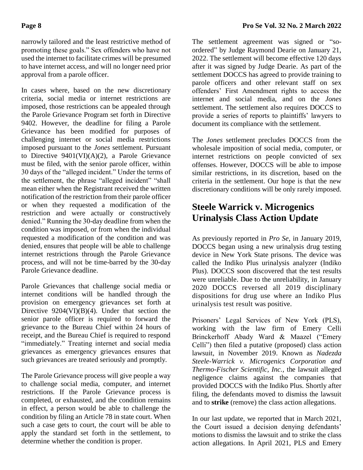narrowly tailored and the least restrictive method of promoting these goals." Sex offenders who have not used the internet to facilitate crimes will be presumed to have internet access, and will no longer need prior approval from a parole officer.

In cases where, based on the new discretionary criteria, social media or internet restrictions are imposed, those restrictions can be appealed through the Parole Grievance Program set forth in Directive 9402. However, the deadline for filing a Parole Grievance has been modified for purposes of challenging internet or social media restrictions imposed pursuant to the *Jones* settlement. Pursuant to Directive 9401(VI)(A)(2), a Parole Grievance must be filed, with the senior parole officer, within 30 days of the "alleged incident." Under the terms of the settlement, the phrase "alleged incident" "shall mean either when the Registrant received the written notification of the restriction from their parole officer or when they requested a modification of the restriction and were actually or constructively denied." Running the 30-day deadline from when the condition was imposed, or from when the individual requested a modification of the condition and was denied, ensures that people will be able to challenge internet restrictions through the Parole Grievance process, and will not be time-barred by the 30-day Parole Grievance deadline.

Parole Grievances that challenge social media or internet conditions will be handled through the provision on emergency grievances set forth at Directive 9204(VI)(B)(4). Under that section the senior parole officer is required to forward the grievance to the Bureau Chief within 24 hours of receipt, and the Bureau Chief is required to respond "immediately." Treating internet and social media grievances as emergency grievances ensures that such grievances are treated seriously and promptly.

The Parole Grievance process will give people a way to challenge social media, computer, and internet restrictions. If the Parole Grievance process is completed, or exhausted, and the condition remains in effect, a person would be able to challenge the condition by filing an Article 78 in state court. When such a case gets to court, the court will be able to apply the standard set forth in the settlement, to determine whether the condition is proper.

The settlement agreement was signed or "soordered" by Judge Raymond Dearie on January 21, 2022. The settlement will become effective 120 days after it was signed by Judge Dearie. As part of the settlement DOCCS has agreed to provide training to parole officers and other relevant staff on sex offenders' First Amendment rights to access the internet and social media, and on the *Jones* settlement. The settlement also requires DOCCS to provide a series of reports to plaintiffs' lawyers to document its compliance with the settlement.

The *Jones* settlement precludes DOCCS from the wholesale imposition of social media, computer, or internet restrictions on people convicted of sex offenses. However, DOCCS will be able to impose similar restrictions, in its discretion, based on the criteria in the settlement. Our hope is that the new discretionary conditions will be only rarely imposed.

## **Steele Warrick v. Microgenics Urinalysis Class Action Update**

As previously reported in *Pro Se*, in January 2019, DOCCS began using a new urinalysis drug testing device in New York State prisons. The device was called the Indiko Plus urinalysis analyzer (Indiko Plus). DOCCS soon discovered that the test results were unreliable. Due to the unreliability, in January 2020 DOCCS reversed all 2019 disciplinary dispositions for drug use where an Indiko Plus urinalysis test result was positive.

Prisoners' Legal Services of New York (PLS), working with the law firm of Emery Celli Brinckerhoff Abady Ward & Maazel ("Emery Celli") then filed a putative (proposed) class action lawsuit, in November 2019. Known as *Nadezda Steele-Warrick v. Microgenics Corporation and Thermo-Fischer Scientific, Inc.,* the lawsuit alleged negligence claims against the companies that provided DOCCS with the Indiko Plus. Shortly after filing, the defendants moved to dismiss the lawsuit and to **strike** (remove) the class action allegations.

In our last update, we reported that in March 2021, the Court issued a decision denying defendants' motions to dismiss the lawsuit and to strike the class action allegations. In April 2021, PLS and Emery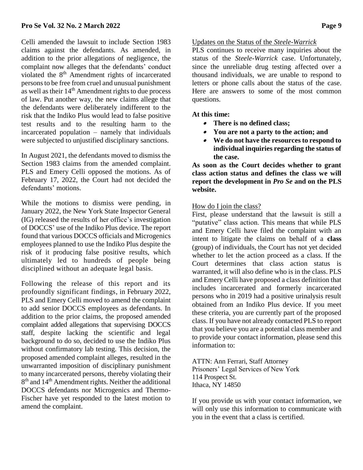Celli amended the lawsuit to include Section 1983 claims against the defendants. As amended, in addition to the prior allegations of negligence, the complaint now alleges that the defendants' conduct violated the  $8<sup>th</sup>$  Amendment rights of incarcerated persons to be free from cruel and unusual punishment as well as their  $14<sup>th</sup>$  Amendment rights to due process of law. Put another way, the new claims allege that the defendants were deliberately indifferent to the risk that the Indiko Plus would lead to false positive test results and to the resulting harm to the incarcerated population – namely that individuals were subjected to unjustified disciplinary sanctions.

In August 2021, the defendants moved to dismiss the Section 1983 claims from the amended complaint. PLS and Emery Celli opposed the motions. As of February 17, 2022, the Court had not decided the defendants' motions.

While the motions to dismiss were pending, in January 2022, the New York State Inspector General (IG) released the results of her office's investigation of DOCCS' use of the Indiko Plus device. The report found that various DOCCS officials and Microgenics employees planned to use the Indiko Plus despite the risk of it producing false positive results, which ultimately led to hundreds of people being disciplined without an adequate legal basis.

Following the release of this report and its profoundly significant findings, in February 2022, PLS and Emery Celli moved to amend the complaint to add senior DOCCS employees as defendants. In addition to the prior claims, the proposed amended complaint added allegations that supervising DOCCS staff, despite lacking the scientific and legal background to do so, decided to use the Indiko Plus without confirmatory lab testing. This decision, the proposed amended complaint alleges, resulted in the unwarranted imposition of disciplinary punishment to many incarcerated persons, thereby violating their 8<sup>th</sup> and 14<sup>th</sup> Amendment rights. Neither the additional DOCCS defendants nor Microgenics and Thermo-Fischer have yet responded to the latest motion to amend the complaint.

#### Updates on the Status of the *Steele-Warrick*

PLS continues to receive many inquiries about the status of the *Steele-Warrick* case. Unfortunately, since the unreliable drug testing affected over a thousand individuals, we are unable to respond to letters or phone calls about the status of the case. Here are answers to some of the most common questions.

#### **At this time:**

- **There is no defined class;**
- **You are not a party to the action; and**
- **We do not have the resources to respond to individual inquiries regarding the status of the case.**

**As soon as the Court decides whether to grant class action status and defines the class we will report the development in** *Pro Se* **and on the PLS website.**

#### How do I join the class?

First, please understand that the lawsuit is still a "putative" class action. This means that while PLS and Emery Celli have filed the complaint with an intent to litigate the claims on behalf of a **class**  (group) of individuals, the Court has not yet decided whether to let the action proceed as a class. If the Court determines that class action status is warranted, it will also define who is in the class. PLS and Emery Celli have proposed a class definition that includes incarcerated and formerly incarcerated persons who in 2019 had a positive urinalysis result obtained from an Indiko Plus device. If you meet these criteria, you are currently part of the proposed class. If you have not already contacted PLS to report that you believe you are a potential class member and to provide your contact information, please send this information to:

ATTN: Ann Ferrari, Staff Attorney Prisoners' Legal Services of New York 114 Prospect St. Ithaca, NY 14850

If you provide us with your contact information, we will only use this information to communicate with you in the event that a class is certified.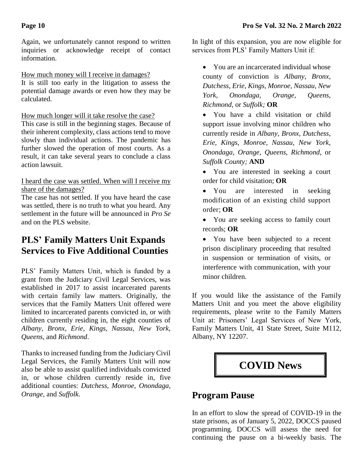Again, we unfortunately cannot respond to written inquiries or acknowledge receipt of contact information.

## How much money will I receive in damages?

It is still too early in the litigation to assess the potential damage awards or even how they may be calculated.

## How much longer will it take resolve the case?

This case is still in the beginning stages. Because of their inherent complexity, class actions tend to move slowly than individual actions. The pandemic has further slowed the operation of most courts. As a result, it can take several years to conclude a class action lawsuit.

#### I heard the case was settled. When will I receive my share of the damages?

The case has not settled. If you have heard the case was settled, there is no truth to what you heard. Any settlement in the future will be announced in *Pro Se* and on the PLS website.

## **PLS' Family Matters Unit Expands Services to Five Additional Counties**

PLS' Family Matters Unit, which is funded by a grant from the Judiciary Civil Legal Services, was established in 2017 to assist incarcerated parents with certain family law matters. Originally, the services that the Family Matters Unit offered were limited to incarcerated parents convicted in, or with children currently residing in, the eight counties of *Albany, Bronx, Erie, Kings, Nassau, New York, Queens,* and *Richmond*.

Thanks to increased funding from the Judiciary Civil Legal Services, the Family Matters Unit will now also be able to assist qualified individuals convicted in, or whose children currently reside in, five additional counties: *Dutchess*, *Monroe, Onondaga, Orange,* and *Suffolk*.

In light of this expansion, you are now eligible for services from PLS' Family Matters Unit if:

• You are an incarcerated individual whose county of conviction is *Albany, Bronx, Dutchess*, *Erie, Kings, Monroe, Nassau, New York, Onondaga, Orange, Queens, Richmond,* or *Suffolk;* **OR**

• You have a child visitation or child support issue involving minor children who currently reside in *Albany, Bronx, Dutchess*, *Erie, Kings, Monroe, Nassau, New York, Onondaga, Orange, Queens, Richmond,* or *Suffolk County;* **AND**

- You are interested in seeking a court order for child visitation; **OR**
- You are interested in seeking modification of an existing child support order; **OR**
- You are seeking access to family court records; **OR**

• You have been subjected to a recent prison disciplinary proceeding that resulted in suspension or termination of visits, or interference with communication, with your minor children.

If you would like the assistance of the Family Matters Unit and you meet the above eligibility requirements, please write to the Family Matters Unit at: Prisoners' Legal Services of New York, Family Matters Unit, 41 State Street, Suite M112, Albany, NY 12207.

# **COVID News**

## **Program Pause**

In an effort to slow the spread of COVID-19 in the state prisons, as of January 5, 2022, DOCCS paused programming. DOCCS will assess the need for continuing the pause on a bi-weekly basis. The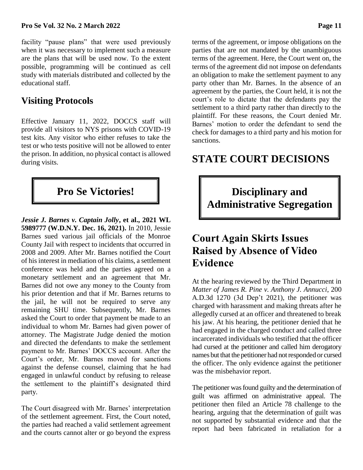facility "pause plans" that were used previously when it was necessary to implement such a measure are the plans that will be used now. To the extent possible, programming will be continued as cell study with materials distributed and collected by the educational staff.

# **Visiting Protocols**

Effective January 11, 2022, DOCCS staff will provide all visitors to NYS prisons with COVID-19 test kits. Any visitor who either refuses to take the test or who tests positive will not be allowed to enter the prison. In addition, no physical contact is allowed during visits.

*Jessie J. Barnes v. Captain Jolly***, et al., 2021 WL 5989777 (W.D.N.Y. Dec. 16, 2021).** In 2010, Jessie Barnes sued various jail officials of the Monroe County Jail with respect to incidents that occurred in 2008 and 2009. After Mr. Barnes notified the Court of his interest in mediation of his claims, a settlement conference was held and the parties agreed on a monetary settlement and an agreement that Mr. Barnes did not owe any money to the County from his prior detention and that if Mr. Barnes returns to the jail, he will not be required to serve any remaining SHU time. Subsequently, Mr. Barnes asked the Court to order that payment be made to an individual to whom Mr. Barnes had given power of attorney. The Magistrate Judge denied the motion and directed the defendants to make the settlement payment to Mr. Barnes' DOCCS account. After the Court's order, Mr. Barnes moved for sanctions against the defense counsel, claiming that he had engaged in unlawful conduct by refusing to release the settlement to the plaintiff's designated third party.

The Court disagreed with Mr. Barnes' interpretation of the settlement agreement. First, the Court noted, the parties had reached a valid settlement agreement and the courts cannot alter or go beyond the express

terms of the agreement, or impose obligations on the parties that are not mandated by the unambiguous terms of the agreement. Here, the Court went on, the terms of the agreement did not impose on defendants an obligation to make the settlement payment to any party other than Mr. Barnes. In the absence of an agreement by the parties, the Court held, it is not the court's role to dictate that the defendants pay the settlement to a third party rather than directly to the plaintiff. For these reasons, the Court denied Mr. Barnes' motion to order the defendant to send the check for damages to a third party and his motion for sanctions.

# **STATE COURT DECISIONS**

**Pro** Se Victories!  $\parallel$  **Disciplinary and Administrative Segregation**

# **Court Again Skirts Issues Raised by Absence of Video Evidence**

At the hearing reviewed by the Third Department in *Matter of James R. Pine v. Anthony J. Annucci*, 200 A.D.3d 1270 (3d Dep't 2021), the petitioner was charged with harassment and making threats after he allegedly cursed at an officer and threatened to break his jaw. At his hearing, the petitioner denied that he had engaged in the charged conduct and called three incarcerated individuals who testified that the officer had cursed at the petitioner and called him derogatory names but that the petitioner had not responded or cursed the officer. The only evidence against the petitioner was the misbehavior report.

The petitioner was found guilty and the determination of guilt was affirmed on administrative appeal. The petitioner then filed an Article 78 challenge to the hearing, arguing that the determination of guilt was not supported by substantial evidence and that the report had been fabricated in retaliation for a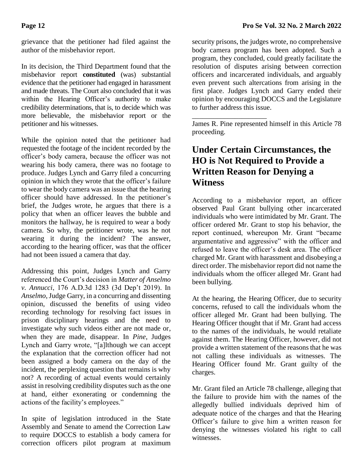grievance that the petitioner had filed against the author of the misbehavior report.

In its decision, the Third Department found that the misbehavior report **constituted** (was) substantial evidence that the petitioner had engaged in harassment and made threats. The Court also concluded that it was within the Hearing Officer's authority to make credibility determinations, that is, to decide which was more believable, the misbehavior report or the petitioner and his witnesses.

While the opinion noted that the petitioner had requested the footage of the incident recorded by the officer's body camera, because the officer was not wearing his body camera, there was no footage to produce. Judges Lynch and Garry filed a concurring opinion in which they wrote that the officer's failure to wear the body camera was an issue that the hearing officer should have addressed. In the petitioner's brief, the Judges wrote, he argues that there is a policy that when an officer leaves the bubble and monitors the hallway, he is required to wear a body camera. So why, the petitioner wrote, was he not wearing it during the incident? The answer, according to the hearing officer, was that the officer had not been issued a camera that day.

Addressing this point, Judges Lynch and Garry referenced the Court's decision in *Matter of Anselmo v. Annucci*, 176 A.D.3d 1283 (3d Dep't 2019). In *Anselmo*, Judge Garry, in a concurring and dissenting opinion, discussed the benefits of using video recording technology for resolving fact issues in prison disciplinary hearings and the need to investigate why such videos either are not made or, when they are made, disappear. In *Pine*, Judges Lynch and Garry wrote, "[a]lthough we can accept the explanation that the correction officer had not been assigned a body camera on the day of the incident, the perplexing question that remains is why not? A recording of actual events would certainly assist in resolving credibility disputes such as the one at hand, either exonerating or condemning the actions of the facility's employees."

In spite of legislation introduced in the State Assembly and Senate to amend the Correction Law to require DOCCS to establish a body camera for correction officers pilot program at maximum

security prisons, the judges wrote, no comprehensive body camera program has been adopted. Such a program, they concluded, could greatly facilitate the resolution of disputes arising between correction officers and incarcerated individuals, and arguably even prevent such altercations from arising in the first place. Judges Lynch and Garry ended their opinion by encouraging DOCCS and the Legislature to further address this issue.

James R. Pine represented himself in this Article 78 proceeding.

\_\_\_\_\_\_\_\_\_\_\_\_\_\_\_\_\_\_\_\_\_

## **Under Certain Circumstances, the HO is Not Required to Provide a Written Reason for Denying a Witness**

According to a misbehavior report, an officer observed Paul Grant bullying other incarcerated individuals who were intimidated by Mr. Grant. The officer ordered Mr. Grant to stop his behavior, the report continued, whereupon Mr. Grant "became argumentative and aggressive" with the officer and refused to leave the officer's desk area. The officer charged Mr. Grant with harassment and disobeying a direct order. The misbehavior report did not name the individuals whom the officer alleged Mr. Grant had been bullying.

At the hearing, the Hearing Officer, due to security concerns, refused to call the individuals whom the officer alleged Mr. Grant had been bullying. The Hearing Officer thought that if Mr. Grant had access to the names of the individuals, he would retaliate against them. The Hearing Officer, however, did not provide a written statement of the reasons that he was not calling these individuals as witnesses. The Hearing Officer found Mr. Grant guilty of the charges.

Mr. Grant filed an Article 78 challenge, alleging that the failure to provide him with the names of the allegedly bullied individuals deprived him of adequate notice of the charges and that the Hearing Officer's failure to give him a written reason for denying the witnesses violated his right to call witnesses.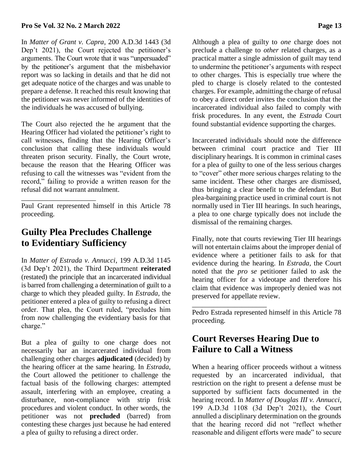#### **Pro Se Vol. 32 No. 2 March 2022 Page 13**

In *Matter of Grant v. Capra*, 200 A.D.3d 1443 (3d Dep't 2021), the Court rejected the petitioner's arguments. The Court wrote that it was "unpersuaded" by the petitioner's argument that the misbehavior report was so lacking in details and that he did not get adequate notice of the charges and was unable to prepare a defense. It reached this result knowing that the petitioner was never informed of the identities of the individuals he was accused of bullying.

The Court also rejected the he argument that the Hearing Officer had violated the petitioner's right to call witnesses, finding that the Hearing Officer's conclusion that calling these individuals would threaten prison security. Finally, the Court wrote, because the reason that the Hearing Officer was refusing to call the witnesses was "evident from the record," failing to provide a written reason for the refusal did not warrant annulment.

Paul Grant represented himself in this Article 78 proceeding.

## **Guilty Plea Precludes Challenge to Evidentiary Sufficiency**

\_\_\_\_\_\_\_\_\_\_\_\_\_\_\_\_\_\_\_\_\_

In *Matter of Estrada v. Annucci*, 199 A.D.3d 1145 (3d Dep't 2021), the Third Department **reiterated** (restated) the principle that an incarcerated individual is barred from challenging a determination of guilt to a charge to which they pleaded guilty. In *Estrada*, the petitioner entered a plea of guilty to refusing a direct order. That plea, the Court ruled, "precludes him from now challenging the evidentiary basis for that charge."

But a plea of guilty to one charge does not necessarily bar an incarcerated individual from challenging other charges **adjudicated** (decided) by the hearing officer at the same hearing. In *Estrada*, the Court allowed the petitioner to challenge the factual basis of the following charges: attempted assault, interfering with an employee, creating a disturbance, non-compliance with strip frisk procedures and violent conduct. In other words, the petitioner was not **precluded** (barred) from contesting these charges just because he had entered a plea of guilty to refusing a direct order.

Although a plea of guilty to *one* charge does not preclude a challenge to *other* related charges, as a practical matter a single admission of guilt may tend to undermine the petitioner's arguments with respect to other charges. This is especially true where the pled to charge is closely related to the contested charges. For example, admitting the charge of refusal to obey a direct order invites the conclusion that the incarcerated individual also failed to comply with frisk procedures. In any event, the *Estrada* Court found substantial evidence supporting the charges.

Incarcerated individuals should note the difference between criminal court practice and Tier III disciplinary hearings. It is common in criminal cases for a plea of guilty to one of the less serious charges to "cover" other more serious charges relating to the same incident. These other charges are dismissed, thus bringing a clear benefit to the defendant. But plea-bargaining practice used in criminal court is not normally used in Tier III hearings. In such hearings, a plea to one charge typically does not include the dismissal of the remaining charges.

Finally, note that courts reviewing Tier III hearings will not entertain claims about the improper denial of evidence where a petitioner fails to ask for that evidence during the hearing. In *Estrada*, the Court noted that the *pro se* petitioner failed to ask the hearing officer for a videotape and therefore his claim that evidence was improperly denied was not preserved for appellate review.

Pedro Estrada represented himself in this Article 78 proceeding.

## **Court Reverses Hearing Due to Failure to Call a Witness**

\_\_\_\_\_\_\_\_\_\_\_\_\_\_\_\_\_\_\_\_\_

When a hearing officer proceeds without a witness requested by an incarcerated individual, that restriction on the right to present a defense must be supported by sufficient facts documented in the hearing record. In *Matter of Douglas III v. Annucci*, 199 A.D.3d 1108 (3d Dep't 2021), the Court annulled a disciplinary determination on the grounds that the hearing record did not "reflect whether reasonable and diligent efforts were made" to secure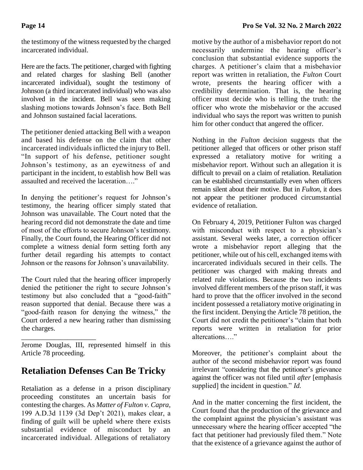the testimony of the witness requested by the charged incarcerated individual.

Here are the facts. The petitioner, charged with fighting and related charges for slashing Bell (another incarcerated individual), sought the testimony of Johnson (a third incarcerated individual) who was also involved in the incident. Bell was seen making slashing motions towards Johnson's face. Both Bell and Johnson sustained facial lacerations.

The petitioner denied attacking Bell with a weapon and based his defense on the claim that other incarcerated individuals inflicted the injury to Bell. "In support of his defense, petitioner sought Johnson's testimony, as an eyewitness of and participant in the incident, to establish how Bell was assaulted and received the laceration…."

In denying the petitioner's request for Johnson's testimony, the hearing officer simply stated that Johnson was unavailable. The Court noted that the hearing record did not demonstrate the date and time of most of the efforts to secure Johnson's testimony. Finally, the Court found, the Hearing Officer did not complete a witness denial form setting forth any further detail regarding his attempts to contact Johnson or the reasons for Johnson's unavailability.

The Court ruled that the hearing officer improperly denied the petitioner the right to secure Johnson's testimony but also concluded that a "good-faith" reason supported that denial. Because there was a "good-faith reason for denying the witness," the Court ordered a new hearing rather than dismissing the charges.

\_\_\_\_\_\_\_\_\_\_\_\_\_\_\_\_\_\_\_\_\_ Jerome Douglas, III, represented himself in this Article 78 proceeding.

# **Retaliation Defenses Can Be Tricky**

Retaliation as a defense in a prison disciplinary proceeding constitutes an uncertain basis for contesting the charges. As *Matter of Fulton v. Capra*, 199 A.D.3d 1139 (3d Dep't 2021), makes clear, a finding of guilt will be upheld where there exists substantial evidence of misconduct by an incarcerated individual. Allegations of retaliatory

motive by the author of a misbehavior report do not necessarily undermine the hearing officer's conclusion that substantial evidence supports the charges. A petitioner's claim that a misbehavior report was written in retaliation, the *Fulton* Court wrote, presents the hearing officer with a credibility determination. That is, the hearing officer must decide who is telling the truth: the officer who wrote the misbehavior or the accused individual who says the report was written to punish him for other conduct that angered the officer.

Nothing in the *Fulton* decision suggests that the petitioner alleged that officers or other prison staff expressed a retaliatory motive for writing a misbehavior report. Without such an allegation it is difficult to prevail on a claim of retaliation. Retaliation can be established circumstantially even when officers remain silent about their motive. But in *Fulton*, it does not appear the petitioner produced circumstantial evidence of retaliation.

On February 4, 2019, Petitioner Fulton was charged with misconduct with respect to a physician's assistant. Several weeks later, a correction officer wrote a misbehavior report alleging that the petitioner, while out of his cell, exchanged items with incarcerated individuals secured in their cells. The petitioner was charged with making threats and related rule violations. Because the two incidents involved different members of the prison staff, it was hard to prove that the officer involved in the second incident possessed a retaliatory motive originating in the first incident. Denying the Article 78 petition, the Court did not credit the petitioner's "claim that both reports were written in retaliation for prior altercations…."

Moreover, the petitioner's complaint about the author of the second misbehavior report was found irrelevant "considering that the petitioner's grievance against the officer was not filed until *after* [emphasis supplied] the incident in question." *Id.* 

And in the matter concerning the first incident, the Court found that the production of the grievance and the complaint against the physician's assistant was unnecessary where the hearing officer accepted "the fact that petitioner had previously filed them." Note that the existence of a grievance against the author of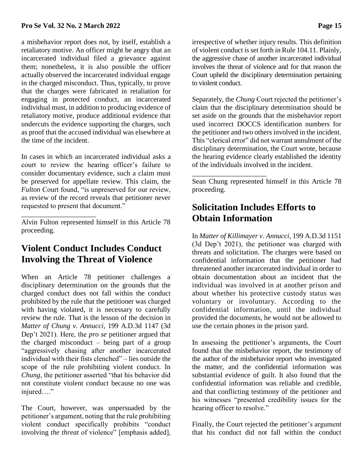a misbehavior report does not, by itself, establish a retaliatory motive. An officer might be angry that an incarcerated individual filed a grievance against them; nonetheless, it is also possible the officer actually observed the incarcerated individual engage in the charged misconduct. Thus, typically, to prove that the charges were fabricated in retaliation for engaging in protected conduct, an incarcerated individual must, in addition to producing evidence of retaliatory motive, produce additional evidence that undercuts the evidence supporting the charges, such as proof that the accused individual was elsewhere at the time of the incident.

In cases in which an incarcerated individual asks a court to review the hearing officer's failure to consider documentary evidence, such a claim must be preserved for appellate review. This claim, the *Fulton* Court found, "is unpreserved for our review, as review of the record reveals that petitioner never requested to present that document."

Alvin Fulton represented himself in this Article 78 proceeding.

\_\_\_\_\_\_\_\_\_\_\_\_\_\_\_\_\_\_\_\_\_

## **Violent Conduct Includes Conduct Involving the Threat of Violence**

When an Article 78 petitioner challenges a disciplinary determination on the grounds that the charged conduct does not fall within the conduct prohibited by the rule that the petitioner was charged with having violated, it is necessary to carefully review the rule. That is the lesson of the decision in *Matter of Chung v. Annucci*, 199 A.D.3d 1147 (3d Dep't 2021). Here, the *pro se* petitioner argued that the charged misconduct – being part of a group "aggressively chasing after another incarcerated individual with their fists clenched" – lies outside the scope of the rule prohibiting violent conduct. In *Chung*, the petitioner asserted "that his behavior did not constitute violent conduct because no one was injured…."

The Court, however, was unpersuaded by the petitioner's argument, noting that the rule prohibiting violent conduct specifically prohibits "conduct involving *the threat* of violence" [emphasis added], irrespective of whether injury results. This definition of violent conduct is set forth in Rule 104.11. Plainly, the aggressive chase of another incarcerated individual involves the threat of violence and for that reason the Court upheld the disciplinary determination pertaining to violent conduct.

Separately, the *Chung* Court rejected the petitioner's claim that the disciplinary determination should be set aside on the grounds that the misbehavior report used incorrect DOCCS identification numbers for the petitioner and two others involved in the incident. This "clerical error" did not warrant annulment of the disciplinary determination, the Court wrote, because the hearing evidence clearly established the identity of the individuals involved in the incident.

Sean Chung represented himself in this Article 78 proceeding.

## **Solicitation Includes Efforts to Obtain Information**

\_\_\_\_\_\_\_\_\_\_\_\_\_\_\_\_\_\_\_\_\_

In *Matter of Killimayer v. Annucci*, 199 A.D.3d 1151 (3d Dep't 2021), the petitioner was charged with threats and solicitation. The charges were based on confidential information that the petitioner had threatened another incarcerated individual in order to obtain documentation about an incident that the individual was involved in at another prison and about whether his protective custody status was voluntary or involuntary. According to the confidential information, until the individual provided the documents, he would not be allowed to use the certain phones in the prison yard.

In assessing the petitioner's arguments, the Court found that the misbehavior report, the testimony of the author of the misbehavior report who investigated the matter, and the confidential information was substantial evidence of guilt. It also found that the confidential information was reliable and credible, and that conflicting testimony of the petitioner and his witnesses "presented credibility issues for the hearing officer to resolve."

Finally, the Court rejected the petitioner's argument that his conduct did not fall within the conduct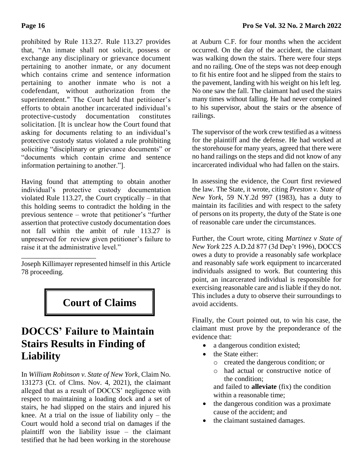prohibited by Rule 113.27. Rule 113.27 provides that, "An inmate shall not solicit, possess or exchange any disciplinary or grievance document pertaining to another inmate, or any document which contains crime and sentence information pertaining to another inmate who is not a codefendant, without authorization from the superintendent." The Court held that petitioner's efforts to obtain another incarcerated individual's protective-custody documentation constitutes solicitation. [It is unclear how the Court found that asking for documents relating to an individual's protective custody status violated a rule prohibiting soliciting "disciplinary or grievance documents" or "documents which contain crime and sentence information pertaining to another."].

Having found that attempting to obtain another individual's protective custody documentation violated Rule 113.27, the Court cryptically – in that this holding seems to contradict the holding in the previous sentence – wrote that petitioner's "further assertion that protective custody documentation does not fall within the ambit of rule 113.27 is unpreserved for review given petitioner's failure to raise it at the administrative level."

Joseph Killimayer represented himself in this Article 78 proceeding.

\_\_\_\_\_\_\_\_\_\_\_\_\_\_\_\_\_\_\_\_\_

# **Court of Claims**

# **DOCCS' Failure to Maintain Stairs Results in Finding of Liability**

In *William Robinson v. State of New York*, Claim No. 131273 (Ct. of Clms. Nov. 4, 2021), the claimant alleged that as a result of DOCCS' negligence with respect to maintaining a loading dock and a set of stairs, he had slipped on the stairs and injured his knee. At a trial on the issue of liability only – the Court would hold a second trial on damages if the plaintiff won the liability issue – the claimant testified that he had been working in the storehouse

at Auburn C.F. for four months when the accident occurred. On the day of the accident, the claimant was walking down the stairs. There were four steps and no railing. One of the steps was not deep enough to fit his entire foot and he slipped from the stairs to the pavement, landing with his weight on his left leg. No one saw the fall. The claimant had used the stairs many times without falling. He had never complained to his supervisor, about the stairs or the absence of railings.

The supervisor of the work crew testified as a witness for the plaintiff and the defense. He had worked at the storehouse for many years, agreed that there were no hand railings on the steps and did not know of any incarcerated individual who had fallen on the stairs.

In assessing the evidence, the Court first reviewed the law. The State, it wrote, citing *Preston v. State of New York*, 59 N.Y.2d 997 (1983), has a duty to maintain its facilities and with respect to the safety of persons on its property, the duty of the State is one of reasonable care under the circumstances.

Further, the Court wrote, citing *Martinez v State of New York* 225 A.D.2d 877 (3d Dep't 1996), DOCCS owes a duty to provide a reasonably safe workplace and reasonably safe work equipment to incarcerated individuals assigned to work. But countering this point, an incarcerated individual is responsible for exercising reasonable care and is liable if they do not. This includes a duty to observe their surroundings to avoid accidents.

Finally, the Court pointed out, to win his case, the claimant must prove by the preponderance of the evidence that:

- a dangerous condition existed;
- the State either:
	- o created the dangerous condition; or
	- o had actual or constructive notice of the condition; and failed to **alleviate** (fix) the condition

within a reasonable time;

- the dangerous condition was a proximate cause of the accident; and
- the claimant sustained damages.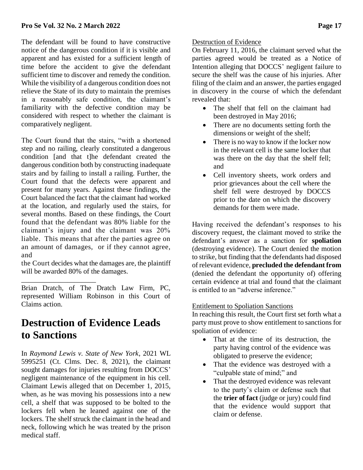The defendant will be found to have constructive notice of the dangerous condition if it is visible and apparent and has existed for a sufficient length of time before the accident to give the defendant sufficient time to discover and remedy the condition. While the visibility of a dangerous condition does not relieve the State of its duty to maintain the premises in a reasonably safe condition, the claimant's familiarity with the defective condition may be considered with respect to whether the claimant is comparatively negligent.

The Court found that the stairs, "with a shortened step and no railing, clearly constituted a dangerous condition [and that t]he defendant created the dangerous condition both by constructing inadequate stairs and by failing to install a railing. Further, the Court found that the defects were apparent and present for many years. Against these findings, the Court balanced the fact that the claimant had worked at the location, and regularly used the stairs, for several months. Based on these findings, the Court found that the defendant was 80% liable for the claimant's injury and the claimant was 20% liable. This means that after the parties agree on an amount of damages, or if they cannot agree, and

the Court decides what the damages are, the plaintiff will be awarded 80% of the damages.

\_\_\_\_\_\_\_\_\_\_\_\_\_\_\_\_\_\_\_\_\_

Brian Dratch, of The Dratch Law Firm, PC, represented William Robinson in this Court of Claims action.

# **Destruction of Evidence Leads to Sanctions**

In *Raymond Lewis v. State of New York*, 2021 WL 5995251 (Ct. Clms. Dec. 8, 2021), the claimant sought damages for injuries resulting from DOCCS' negligent maintenance of the equipment in his cell. Claimant Lewis alleged that on December 1, 2015, when, as he was moving his possessions into a new cell, a shelf that was supposed to be bolted to the lockers fell when he leaned against one of the lockers. The shelf struck the claimant in the head and neck, following which he was treated by the prison medical staff.

## Destruction of Evidence

On February 11, 2016, the claimant served what the parties agreed would be treated as a Notice of Intention alleging that DOCCS' negligent failure to secure the shelf was the cause of his injuries. After filing of the claim and an answer, the parties engaged in discovery in the course of which the defendant revealed that:

- The shelf that fell on the claimant had been destroyed in May 2016;
- There are no documents setting forth the dimensions or weight of the shelf;
- There is no way to know if the locker now in the relevant cell is the same locker that was there on the day that the shelf fell; and
- Cell inventory sheets, work orders and prior grievances about the cell where the shelf fell were destroyed by DOCCS prior to the date on which the discovery demands for them were made.

Having received the defendant's responses to his discovery request, the claimant moved to strike the defendant's answer as a sanction for **spoliation** (destroying evidence). The Court denied the motion to strike, but finding that the defendants had disposed of relevant evidence, **precluded the defendant from** (denied the defendant the opportunity of) offering certain evidence at trial and found that the claimant is entitled to an "adverse inference."

## Entitlement to Spoliation Sanctions

In reaching this result, the Court first set forth what a party must prove to show entitlement to sanctions for spoliation of evidence:

- That at the time of its destruction, the party having control of the evidence was obligated to preserve the evidence;
- That the evidence was destroyed with a "culpable state of mind;" and
- That the destroyed evidence was relevant to the party's claim or defense such that the **trier of fact** (judge or jury) could find that the evidence would support that claim or defense.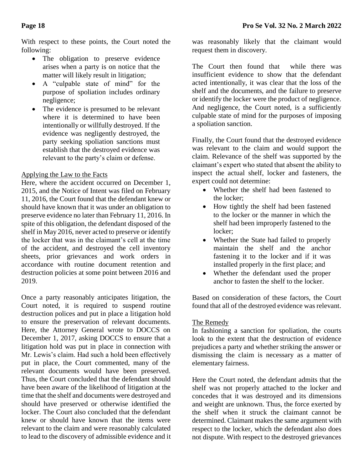With respect to these points, the Court noted the following:

- The obligation to preserve evidence arises when a party is on notice that the matter will likely result in litigation;
- A "culpable state of mind" for the purpose of spoliation includes ordinary negligence;
- The evidence is presumed to be relevant where it is determined to have been intentionally or willfully destroyed. If the evidence was negligently destroyed, the party seeking spoliation sanctions must establish that the destroyed evidence was relevant to the party's claim or defense.

## Applying the Law to the Facts

Here, where the accident occurred on December 1, 2015, and the Notice of Intent was filed on February 11, 2016, the Court found that the defendant knew or should have known that it was under an obligation to preserve evidence no later than February 11, 2016. In spite of this obligation, the defendant disposed of the shelf in May 2016, never acted to preserve or identify the locker that was in the claimant's cell at the time of the accident, and destroyed the cell inventory sheets, prior grievances and work orders in accordance with routine document retention and destruction policies at some point between 2016 and 2019.

Once a party reasonably anticipates litigation, the Court noted, it is required to suspend routine destruction polices and put in place a litigation hold to ensure the preservation of relevant documents. Here, the Attorney General wrote to DOCCS on December 1, 2017, asking DOCCS to ensure that a litigation hold was put in place in connection with Mr. Lewis's claim. Had such a hold been effectively put in place, the Court commented, many of the relevant documents would have been preserved. Thus, the Court concluded that the defendant should have been aware of the likelihood of litigation at the time that the shelf and documents were destroyed and should have preserved or otherwise identified the locker. The Court also concluded that the defendant knew or should have known that the items were relevant to the claim and were reasonably calculated to lead to the discovery of admissible evidence and it was reasonably likely that the claimant would request them in discovery.

The Court then found that while there was insufficient evidence to show that the defendant acted intentionally, it was clear that the loss of the shelf and the documents, and the failure to preserve or identify the locker were the product of negligence. And negligence, the Court noted, is a sufficiently culpable state of mind for the purposes of imposing a spoliation sanction.

Finally, the Court found that the destroyed evidence was relevant to the claim and would support the claim. Relevance of the shelf was supported by the claimant's expert who stated that absent the ability to inspect the actual shelf, locker and fasteners, the expert could not determine:

- Whether the shelf had been fastened to the locker;
- How tightly the shelf had been fastened to the locker or the manner in which the shelf had been improperly fastened to the locker;
- Whether the State had failed to properly maintain the shelf and the anchor fastening it to the locker and if it was installed properly in the first place; and
- Whether the defendant used the proper anchor to fasten the shelf to the locker.

Based on consideration of these factors, the Court found that all of the destroyed evidence was relevant.

## The Remedy

In fashioning a sanction for spoliation, the courts look to the extent that the destruction of evidence prejudices a party and whether striking the answer or dismissing the claim is necessary as a matter of elementary fairness.

Here the Court noted, the defendant admits that the shelf was not properly attached to the locker and concedes that it was destroyed and its dimensions and weight are unknown. Thus, the force exerted by the shelf when it struck the claimant cannot be determined. Claimant makes the same argument with respect to the locker, which the defendant also does not dispute. With respect to the destroyed grievances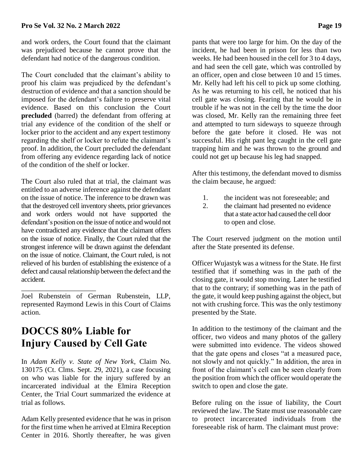#### **Pro Se Vol. 32 No. 2 March 2022 Page 19**

and work orders, the Court found that the claimant was prejudiced because he cannot prove that the defendant had notice of the dangerous condition.

The Court concluded that the claimant's ability to proof his claim was prejudiced by the defendant's destruction of evidence and that a sanction should be imposed for the defendant's failure to preserve vital evidence. Based on this conclusion the Court **precluded** (barred) the defendant from offering at trial any evidence of the condition of the shelf or locker prior to the accident and any expert testimony regarding the shelf or locker to refute the claimant's proof. In addition, the Court precluded the defendant from offering any evidence regarding lack of notice of the condition of the shelf or locker.

The Court also ruled that at trial, the claimant was entitled to an adverse inference against the defendant on the issue of notice. The inference to be drawn was that the destroyed cell inventory sheets, prior grievances and work orders would not have supported the defendant's position on the issue of notice and would not have contradicted any evidence that the claimant offers on the issue of notice. Finally, the Court ruled that the strongest inference will be drawn against the defendant on the issue of notice. Claimant, the Court ruled, is not relieved of his burden of establishing the existence of a defect and causal relationship between the defect and the accident.

Joel Rubenstein of German Rubenstein, LLP, represented Raymond Lewis in this Court of Claims action.

# **DOCCS 80% Liable for Injury Caused by Cell Gate**

\_\_\_\_\_\_\_\_\_\_\_\_\_\_\_\_\_\_\_\_\_

In *Adam Kelly v. State of New York*, Claim No. 130175 (Ct. Clms. Sept. 29, 2021), a case focusing on who was liable for the injury suffered by an incarcerated individual at the Elmira Reception Center, the Trial Court summarized the evidence at trial as follows.

Adam Kelly presented evidence that he was in prison for the first time when he arrived at Elmira Reception Center in 2016. Shortly thereafter, he was given pants that were too large for him. On the day of the incident, he had been in prison for less than two weeks. He had been housed in the cell for 3 to 4 days, and had seen the cell gate, which was controlled by an officer, open and close between 10 and 15 times. Mr. Kelly had left his cell to pick up some clothing. As he was returning to his cell, he noticed that his cell gate was closing. Fearing that he would be in trouble if he was not in the cell by the time the door was closed, Mr. Kelly ran the remaining three feet and attempted to turn sideways to squeeze through before the gate before it closed. He was not successful. His right pant leg caught in the cell gate trapping him and he was thrown to the ground and could not get up because his leg had snapped.

After this testimony, the defendant moved to dismiss the claim because, he argued:

- 1. the incident was not foreseeable; and
- 2. the claimant had presented no evidence that a state actor had caused the cell door to open and close.

The Court reserved judgment on the motion until after the State presented its defense.

Officer Wujastyk was a witness for the State. He first testified that if something was in the path of the closing gate, it would stop moving. Later he testified that to the contrary; if something was in the path of the gate, it would keep pushing against the object, but not with crushing force. This was the only testimony presented by the State.

In addition to the testimony of the claimant and the officer, two videos and many photos of the gallery were submitted into evidence. The videos showed that the gate opens and closes "at a measured pace, not slowly and not quickly." In addition, the area in front of the claimant's cell can be seen clearly from the position from which the officer would operate the switch to open and close the gate.

Before ruling on the issue of liability, the Court reviewed the law. The State must use reasonable care to protect incarcerated individuals from the foreseeable risk of harm. The claimant must prove: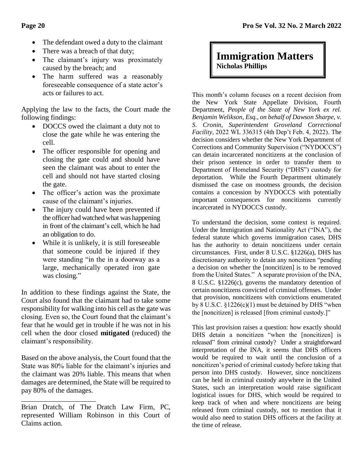- The defendant owed a duty to the claimant
- There was a breach of that duty;
- The claimant's injury was proximately caused by the breach; and
- The harm suffered was a reasonably foreseeable consequence of a state actor's acts or failures to act.

Applying the law to the facts, the Court made the following findings:

- DOCCS owed the claimant a duty not to close the gate while he was entering the cell.
- The officer responsible for opening and closing the gate could and should have seen the claimant was about to enter the cell and should not have started closing the gate.
- The officer's action was the proximate cause of the claimant's injuries.
- The injury could have been prevented if the officer had watched what was happening in front of the claimant's cell, which he had an obligation to do.
- While it is unlikely, it is still foreseeable that someone could be injured if they were standing "in the in a doorway as a large, mechanically operated iron gate was closing."

In addition to these findings against the State, the Court also found that the claimant had to take some responsibility for walking into his cell as the gate was closing. Even so, the Court found that the claimant's fear that he would get in trouble if he was not in his cell when the door closed **mitigated** (reduced) the claimant's responsibility.

Based on the above analysis, the Court found that the State was 80% liable for the claimant's injuries and the claimant was 20% liable. This means that when damages are determined, the State will be required to pay 80% of the damages.

\_\_\_\_\_\_\_\_\_\_\_\_\_\_\_\_\_\_\_\_\_ Brian Dratch, of The Dratch Law Firm, PC, represented William Robinson in this Court of Claims action.

# **Immigration Matters Nicholas Phillips**

This month's column focuses on a recent decision from the New York State Appellate Division, Fourth Department, *People of the State of New York ex rel. Benjamin Welikson, Esq., on behalf of Dawson Sharpe, v. S. Cronin, Superintendent Groveland Correctional Facility*, 2022 WL 336315 (4th Dep't Feb. 4, 2022). The decision considers whether the New York Department of Corrections and Community Supervision ("NYDOCCS") can detain incarcerated noncitizens at the conclusion of their prison sentence in order to transfer them to Department of Homeland Security ("DHS") custody for deportation. While the Fourth Department ultimately dismissed the case on mootness grounds, the decision contains a concession by NYDOCCS with potentially important consequences for noncitizens currently incarcerated in NYDOCCS custody.

To understand the decision, some context is required. Under the Immigration and Nationality Act ("INA"), the federal statute which governs immigration cases, DHS has the authority to detain noncitizens under certain circumstances. First, under 8 U.S.C. §1226(a), DHS has discretionary authority to detain any noncitizen "pending a decision on whether the [noncitizen] is to be removed from the United States." A separate provision of the INA, 8 U.S.C. §1226(c), governs the mandatory detention of certain noncitizens convicted of criminal offenses. Under that provision, noncitizens with convictions enumerated by  $8 \text{ U.S.C. } \S1226(c)(1)$  must be detained by DHS "when the [noncitizen] is released [from criminal custody.]"

This last provision raises a question: how exactly should DHS detain a noncitizen "when the [noncitizen] is released" from criminal custody? Under a straightforward interpretation of the INA, it seems that DHS officers would be required to wait until the conclusion of a noncitizen's period of criminal custody before taking that person into DHS custody. However, since noncitizens can be held in criminal custody anywhere in the United States, such an interpretation would raise significant logistical issues for DHS, which would be required to keep track of when and where noncitizens are being released from criminal custody, not to mention that it would also need to station DHS officers at the facility at the time of release.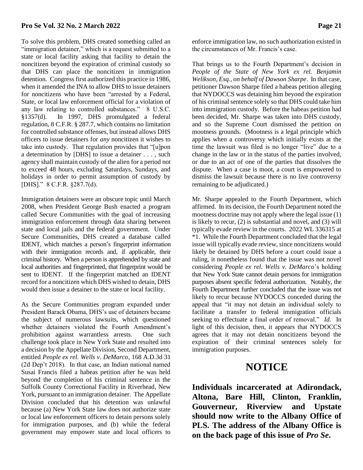#### **Pro Se Vol. 32 No. 2 March 2022 Page 21**

To solve this problem, DHS created something called an "immigration detainer," which is a request submitted to a state or local facility asking that facility to detain the noncitizen beyond the expiration of criminal custody so that DHS can place the noncitizen in immigration detention. Congress first authorized this practice in 1986, when it amended the INA to allow DHS to issue detainers for noncitizens who have been "arrested by a Federal, State, or local law enforcement official for a violation of any law relating to controlled substances." 8 U.S.C. §1357(d). In 1997, DHS promulgated a federal regulation, 8 C.F.R. § 287.7, which contains no limitation for controlled substance offenses, but instead allows DHS officers to issue detainers for *any* noncitizen it wishes to take into custody. That regulation provides that "[u]pon a determination by [DHS] to issue a detainer . . . , such agency shall maintain custody of the alien for a period not to exceed 48 hours, excluding Saturdays, Sundays, and holidays in order to permit assumption of custody by [DHS]." 8 C.F.R. §287.7(d).

Immigration detainers were an obscure topic until March 2008, when President George Bush enacted a program called Secure Communities with the goal of increasing immigration enforcement through data sharing between state and local jails and the federal government. Under Secure Communities, DHS created a database called IDENT, which matches a person's fingerprint information with their immigration records and, if applicable, their criminal history. When a person is apprehended by state and local authorities and fingerprinted, that fingerprint would be sent to IDENT. If the fingerprint matched an IDENT record for a noncitizen which DHS wished to detain, DHS would then issue a detainer to the state or local facility.

As the Secure Communities program expanded under President Barack Obama, DHS's use of detainers became the subject of numerous lawsuits, which questioned whether detainers violated the Fourth Amendment's prohibition against warrantless arrests. One such challenge took place in New York State and resulted into a decision by the Appellate Division, Second Department, entitled *People ex rel. Wells v. DeMarco*, 168 A.D.3d 31 (2d Dep't 2018). In that case, an Indian national named Susai Francis filed a habeas petition after he was held beyond the completion of his criminal sentence in the Suffolk County Correctional Facility in Riverhead, New York, pursuant to an immigration detainer. The Appellate Division concluded that his detention was unlawful because (a) New York State law does not authorize state or local law enforcement officers to detain persons solely for immigration purposes, and (b) while the federal government may empower state and local officers to

enforce immigration law, no such authorization existed in the circumstances of Mr. Francis's case.

That brings us to the Fourth Department's decision in *People of the State of New York ex rel. Benjamin Welikson, Esq., on behalf of Dawson Sharpe*. In that case, petitioner Dawson Sharpe filed a habeas petition alleging that NYDOCCS was detaining him beyond the expiration of his criminal sentence solely so that DHS could take him into immigration custody. Before the habeas petition had been decided, Mr. Sharpe was taken into DHS custody, and so the Supreme Court dismissed the petition on mootness grounds. (Mootness is a legal principle which applies when a controversy which initially exists at the time the lawsuit was filed is no longer "live" due to a change in the law or in the status of the parties involved, or due to an act of one of the parties that dissolves the dispute. When a case is moot, a court is empowered to dismiss the lawsuit because there is no live controversy remaining to be adjudicated.)

Mr. Sharpe appealed to the Fourth Department, which affirmed. In its decision, the Fourth Department noted the mootness doctrine may not apply where the legal issue (1) is likely to recur, (2) is substantial and novel, and (3) will typically evade review in the courts. 2022 WL 336315 at \*1. While the Fourth Department concluded that the legal issue will typically evade review, since noncitizens would likely be detained by DHS before a court could issue a ruling, it nonetheless found that the issue was not novel considering *People ex rel. Wells v. DeMarco*'s holding that New York State cannot detain persons for immigration purposes absent specific federal authorization. Notably, the Fourth Department further concluded that the issue was not likely to recur because NYDOCCS conceded during the appeal that "it may not detain an individual solely to facilitate a transfer to federal immigration officials seeking to effectuate a final order of removal." *Id.* In light of this decision, then, it appears that NYDOCCS agrees that it may not detain noncitizens beyond the expiration of their criminal sentences solely for immigration purposes.

# **NOTICE**

**Individuals incarcerated at Adirondack, Altona, Bare Hill, Clinton, Franklin, Gouverneur, Riverview and Upstate should now write to the Albany Office of PLS. The address of the Albany Office is on the back page of this issue of** *Pro Se***.**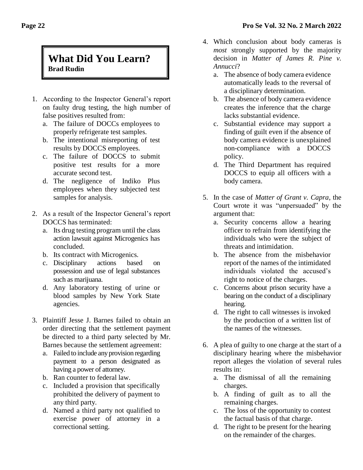## **What Did You Learn? Brad Rudin**

- 1. According to the Inspector General's report on faulty drug testing, the high number of false positives resulted from:
	- a. The failure of DOCCs employees to properly refrigerate test samples.
	- b. The intentional misreporting of test results by DOCCS employees.
	- c. The failure of DOCCS to submit positive test results for a more accurate second test.
	- d. The negligence of Indiko Plus employees when they subjected test samples for analysis.
- 2. As a result of the Inspector General's report DOCCS has terminated:
	- a. Its drug testing program until the class action lawsuit against Microgenics has concluded.
	- b. Its contract with Microgenics.
	- c. Disciplinary actions based on possession and use of legal substances such as marijuana.
	- d. Any laboratory testing of urine or blood samples by New York State agencies.
- 3. Plaintiff Jesse J. Barnes failed to obtain an order directing that the settlement payment be directed to a third party selected by Mr. Barnes because the settlement agreement:
	- a. Failed to include any provision regarding payment to a person designated as having a power of attorney.
	- b. Ran counter to federal law.
	- c. Included a provision that specifically prohibited the delivery of payment to any third party.
	- d. Named a third party not qualified to exercise power of attorney in a correctional setting.
- 4. Which conclusion about body cameras is *most* strongly supported by the majority decision in *Matter of James R. Pine v. Annucci*?
	- a. The absence of body camera evidence automatically leads to the reversal of a disciplinary determination.
	- b. The absence of body camera evidence creates the inference that the charge lacks substantial evidence.
	- c. Substantial evidence may support a finding of guilt even if the absence of body camera evidence is unexplained non-compliance with a DOCCS policy.
	- d. The Third Department has required DOCCS to equip all officers with a body camera.
- 5. In the case of *Matter of Grant v. Capra*, the Court wrote it was "unpersuaded" by the argument that:
	- a. Security concerns allow a hearing officer to refrain from identifying the individuals who were the subject of threats and intimidation.
	- b. The absence from the misbehavior report of the names of the intimidated individuals violated the accused's right to notice of the charges.
	- c. Concerns about prison security have a bearing on the conduct of a disciplinary hearing.
	- d. The right to call witnesses is invoked by the production of a written list of the names of the witnesses.
- 6. A plea of guilty to one charge at the start of a disciplinary hearing where the misbehavior report alleges the violation of several rules results in:
	- a. The dismissal of all the remaining charges.
	- b. A finding of guilt as to all the remaining charges.
	- c. The loss of the opportunity to contest the factual basis of that charge.
	- d. The right to be present for the hearing on the remainder of the charges.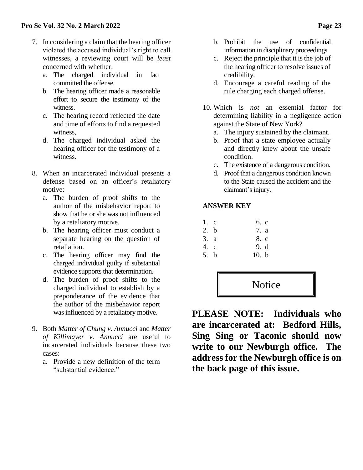- 7. In considering a claim that the hearing officer violated the accused individual's right to call witnesses, a reviewing court will be *least*  concerned with whether:
	- a. The charged individual in fact committed the offense.
	- b. The hearing officer made a reasonable effort to secure the testimony of the witness.
	- c. The hearing record reflected the date and time of efforts to find a requested witness,
	- d. The charged individual asked the hearing officer for the testimony of a witness.
- 8. When an incarcerated individual presents a defense based on an officer's retaliatory motive:
	- a. The burden of proof shifts to the author of the misbehavior report to show that he or she was not influenced by a retaliatory motive.
	- b. The hearing officer must conduct a separate hearing on the question of retaliation.
	- c. The hearing officer may find the charged individual guilty if substantial evidence supports that determination.
	- d. The burden of proof shifts to the charged individual to establish by a preponderance of the evidence that the author of the misbehavior report was influenced by a retaliatory motive.
- 9. Both *Matter of Chung v. Annucci* and *Matter of Killimayer v. Annucci* are useful to incarcerated individuals because these two cases:
	- a. Provide a new definition of the term "substantial evidence."
- b. Prohibit the use of confidential information in disciplinary proceedings.
- c. Reject the principle that it is the job of the hearing officer to resolve issues of credibility.
- d. Encourage a careful reading of the rule charging each charged offense.
- 10. Which is *not* an essential factor for determining liability in a negligence action against the State of New York?
	- a. The injury sustained by the claimant.
	- b. Proof that a state employee actually and directly knew about the unsafe condition.
	- c. The existence of a dangerous condition.
	- d. Proof that a dangerous condition known to the State caused the accident and the claimant's injury.

## **ANSWER KEY**

| $1$ . c | 6. c |
|---------|------|
| 2. b    | 7. a |
| 3. a    | 8. c |
| 4. c    | 9. d |

5. b 10. b



**PLEASE NOTE: Individuals who are incarcerated at: Bedford Hills, Sing Sing or Taconic should now write to our Newburgh office. The address for the Newburgh office is on the back page of this issue.**